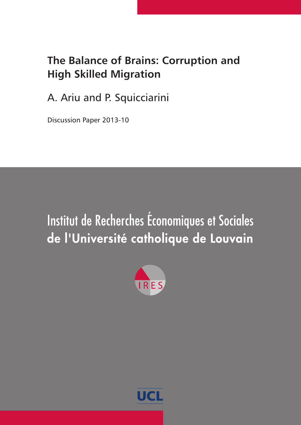# **The Balance of Brains: Corruption and High Skilled Migration**

A. Ariu and P. Squicciarini

Discussion Paper 2013-10

# Institut de Recherches Économiques et Sociales de l'Université catholique de Louvain



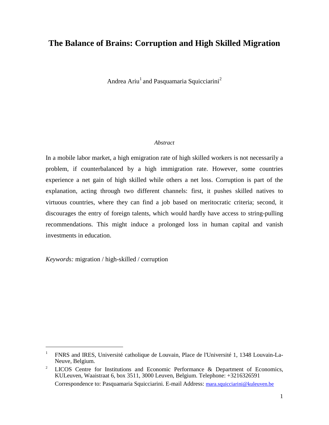# **The Balance of Brains: Corruption and High Skilled Migration**

Andrea Ariu<sup>1</sup> and Pasquamaria Squicciarini<sup>2</sup>

#### *Abstract*

In a mobile labor market, a high emigration rate of high skilled workers is not necessarily a problem, if counterbalanced by a high immigration rate. However, some countries experience a net gain of high skilled while others a net loss. Corruption is part of the explanation, acting through two different channels: first, it pushes skilled natives to virtuous countries, where they can find a job based on meritocratic criteria; second, it discourages the entry of foreign talents, which would hardly have access to string-pulling recommendations. This might induce a prolonged loss in human capital and vanish investments in education.

*Keywords:* migration / high-skilled / corruption

<sup>&</sup>lt;sup>1</sup> FNRS and IRES, Université catholique de Louvain, Place de l'Université 1, 1348 Louvain-La-Neuve, Belgium.

<sup>&</sup>lt;sup>2</sup> LICOS Centre for Institutions and Economic Performance & Department of Economics, KULeuven, Waaistraat 6, box 3511, 3000 Leuven, Belgium. Telephone: +3216326591 Correspondence to: Pasquamaria Squicciarini. E-mail Address: [mara.squicciarini@kuleuven.be](mailto:mara.squicciarini@kuleuven.be)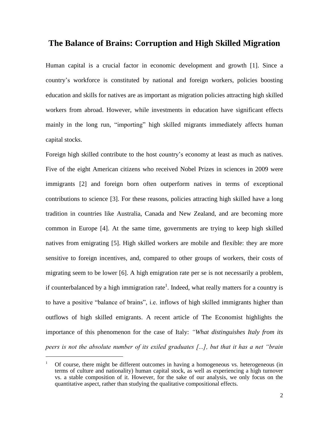# **The Balance of Brains: Corruption and High Skilled Migration**

Human capital is a crucial factor in economic development and growth [1]. Since a country's workforce is constituted by national and foreign workers, policies boosting education and skills for natives are as important as migration policies attracting high skilled workers from abroad. However, while investments in education have significant effects mainly in the long run, "importing" high skilled migrants immediately affects human capital stocks.

Foreign high skilled contribute to the host country's economy at least as much as natives. Five of the eight American citizens who received Nobel Prizes in sciences in 2009 were immigrants [2] and foreign born often outperform natives in terms of exceptional contributions to science [3]. For these reasons, policies attracting high skilled have a long tradition in countries like Australia, Canada and New Zealand, and are becoming more common in Europe [4]. At the same time, governments are trying to keep high skilled natives from emigrating [5]. High skilled workers are mobile and flexible: they are more sensitive to foreign incentives, and, compared to other groups of workers, their costs of migrating seem to be lower [6]. A high emigration rate per se is not necessarily a problem, if counterbalanced by a high immigration rate<sup>1</sup>. Indeed, what really matters for a country is to have a positive "balance of brains", i.e. inflows of high skilled immigrants higher than outflows of high skilled emigrants. A recent article of The Economist highlights the importance of this phenomenon for the case of Italy: *"What distinguishes Italy from its peers is not the absolute number of its exiled graduates [...], but that it has a net "brain* 

<sup>&</sup>lt;sup>1</sup> Of course, there might be different outcomes in having a homogeneous vs. heterogeneous (in terms of culture and nationality) human capital stock, as well as experiencing a high turnover vs. a stable composition of it. However, for the sake of our analysis, we only focus on the quantitative aspect, rather than studying the qualitative compositional effects.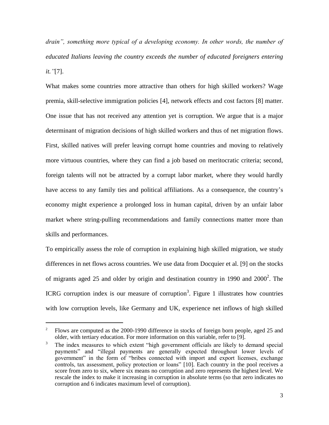*drain", something more typical of a developing economy. In other words, the number of educated Italians leaving the country exceeds the number of educated foreigners entering it."*[7].

What makes some countries more attractive than others for high skilled workers? Wage premia, skill-selective immigration policies [4], network effects and cost factors [8] matter. One issue that has not received any attention yet is corruption. We argue that is a major determinant of migration decisions of high skilled workers and thus of net migration flows. First, skilled natives will prefer leaving corrupt home countries and moving to relatively more virtuous countries, where they can find a job based on meritocratic criteria; second, foreign talents will not be attracted by a corrupt labor market, where they would hardly have access to any family ties and political affiliations. As a consequence, the country's economy might experience a prolonged loss in human capital, driven by an unfair labor market where string-pulling recommendations and family connections matter more than skills and performances.

To empirically assess the role of corruption in explaining high skilled migration, we study differences in net flows across countries. We use data from Docquier et al. [9] on the stocks of migrants aged 25 and older by origin and destination country in 1990 and  $2000^2$ . The ICRG corruption index is our measure of corruption<sup>3</sup>. Figure 1 illustrates how countries with low corruption levels, like Germany and UK, experience net inflows of high skilled

<sup>&</sup>lt;sup>2</sup> Flows are computed as the 2000-1990 difference in stocks of foreign born people, aged 25 and older, with tertiary education. For more information on this variable, refer to [9].

<sup>&</sup>lt;sup>3</sup> The index measures to which extent "high government officials are likely to demand special payments" and "illegal payments are generally expected throughout lower levels of government" in the form of "bribes connected with import and export licenses, exchange controls, tax assessment, policy protection or loans" [10]. Each country in the pool receives a score from zero to six, where six means no corruption and zero represents the highest level. We rescale the index to make it increasing in corruption in absolute terms (so that zero indicates no corruption and 6 indicates maximum level of corruption).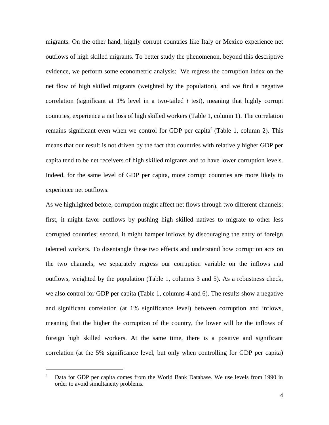migrants. On the other hand, highly corrupt countries like Italy or Mexico experience net outflows of high skilled migrants. To better study the phenomenon, beyond this descriptive evidence, we perform some econometric analysis: We regress the corruption index on the net flow of high skilled migrants (weighted by the population), and we find a negative correlation (significant at 1% level in a two-tailed *t* test), meaning that highly corrupt countries, experience a net loss of high skilled workers (Table 1, column 1). The correlation remains significant even when we control for GDP per capita<sup>4</sup> (Table 1, column 2). This means that our result is not driven by the fact that countries with relatively higher GDP per capita tend to be net receivers of high skilled migrants and to have lower corruption levels. Indeed, for the same level of GDP per capita, more corrupt countries are more likely to experience net outflows.

As we highlighted before, corruption might affect net flows through two different channels: first, it might favor outflows by pushing high skilled natives to migrate to other less corrupted countries; second, it might hamper inflows by discouraging the entry of foreign talented workers. To disentangle these two effects and understand how corruption acts on the two channels, we separately regress our corruption variable on the inflows and outflows, weighted by the population (Table 1, columns 3 and 5). As a robustness check, we also control for GDP per capita (Table 1, columns 4 and 6). The results show a negative and significant correlation (at 1% significance level) between corruption and inflows, meaning that the higher the corruption of the country, the lower will be the inflows of foreign high skilled workers. At the same time, there is a positive and significant correlation (at the 5% significance level, but only when controlling for GDP per capita)

Data for GDP per capita comes from the World Bank Database. We use levels from 1990 in order to avoid simultaneity problems.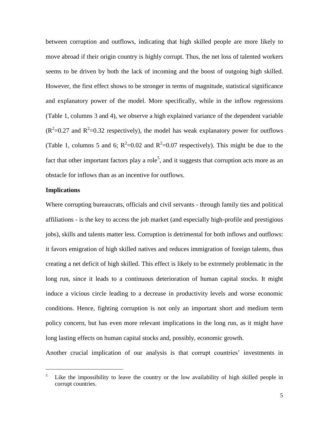between corruption and outflows, indicating that high skilled people are more likely to move abroad if their origin country is highly corrupt. Thus, the net loss of talented workers seems to be driven by both the lack of incoming and the boost of outgoing high skilled. However, the first effect shows to be stronger in terms of magnitude, statistical significance and explanatory power of the model. More specifically, while in the inflow regressions (Table 1, columns 3 and 4), we observe a high explained variance of the dependent variable  $(R^2=0.27$  and  $R^2=0.32$  respectively), the model has weak explanatory power for outflows (Table 1, columns 5 and 6;  $R^2 = 0.02$  and  $R^2 = 0.07$  respectively). This might be due to the fact that other important factors play a role<sup>5</sup>, and it suggests that corruption acts more as an obstacle for inflows than as an incentive for outflows.

#### **Implications**

 $\overline{a}$ 

Where corrupting bureaucrats, officials and civil servants - through family ties and political affiliations - is the key to access the job market (and especially high-profile and prestigious jobs), skills and talents matter less. Corruption is detrimental for both inflows and outflows: it favors emigration of high skilled natives and reduces immigration of foreign talents, thus creating a net deficit of high skilled. This effect is likely to be extremely problematic in the long run, since it leads to a continuous deterioration of human capital stocks. It might induce a vicious circle leading to a decrease in productivity levels and worse economic conditions. Hence, fighting corruption is not only an important short and medium term policy concern, but has even more relevant implications in the long run, as it might have long lasting effects on human capital stocks and, possibly, economic growth.

Another crucial implication of our analysis is that corrupt countries' investments in

 $5$  Like the impossibility to leave the country or the low availability of high skilled people in corrupt countries.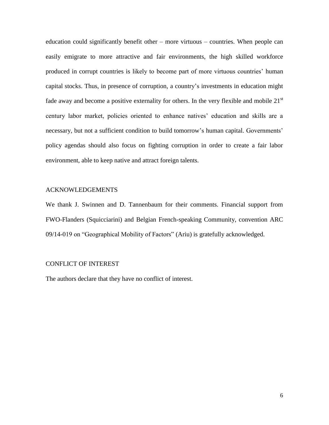education could significantly benefit other – more virtuous – countries. When people can easily emigrate to more attractive and fair environments, the high skilled workforce produced in corrupt countries is likely to become part of more virtuous countries' human capital stocks. Thus, in presence of corruption, a country's investments in education might fade away and become a positive externality for others. In the very flexible and mobile  $21<sup>st</sup>$ century labor market, policies oriented to enhance natives' education and skills are a necessary, but not a sufficient condition to build tomorrow's human capital. Governments' policy agendas should also focus on fighting corruption in order to create a fair labor environment, able to keep native and attract foreign talents.

#### ACKNOWLEDGEMENTS

We thank J. Swinnen and D. Tannenbaum for their comments. Financial support from FWO-Flanders (Squicciarini) and Belgian French-speaking Community, convention ARC 09/14-019 on "Geographical Mobility of Factors" (Ariu) is gratefully acknowledged.

#### CONFLICT OF INTEREST

The authors declare that they have no conflict of interest.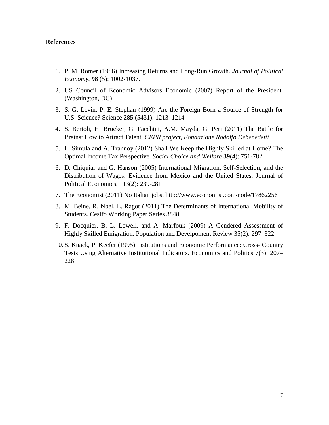#### **References**

- 1. P. M. Romer (1986) [Increasing Returns and Long-Run Growth.](http://www.jstor.org/stable/1833190) *Journal of Political Economy*, **98** (5): 1002-1037.
- 2. US Council of Economic Advisors Economic (2007) Report of the President. (Washington, DC)
- 3. S. G. Levin, P. E. Stephan (1999) Are the Foreign Born a Source of Strength for U.S. Science? Science **285** (5431): 1213–1214
- 4. S. Bertoli, H. Brucker, G. Facchini, A.M. Mayda, G. Peri (2011) The Battle for Brains: How to Attract Talent. *CEPR project, Fondazione Rodolfo Debenedetti*
- 5. L. Simula and A. Trannoy (2012) Shall We Keep the Highly Skilled at Home? The Optimal Income Tax Perspective. *Social Choice and Welfare* **39**(4): 751-782.
- 6. D. Chiquiar and G. Hanson (2005) International Migration, Self-Selection, and the Distribution of Wages: Evidence from Mexico and the United States. Journal of Political Economics. 113(2): 239-281
- 7. The Economist (2011) No Italian jobs.<http://www.economist.com/node/17862256>
- 8. M. Beine, R. Noel, L. Ragot (2011) The Determinants of International Mobility of Students. Cesifo Working Paper Series 3848
- 9. F. Docquier, B. L. Lowell, and A. Marfouk (2009) A Gendered Assessment of Highly Skilled Emigration. Population and Develpoment Review 35(2): 297–322
- 10. S. Knack, P. Keefer (1995) Institutions and Economic Performance: Cross- Country Tests Using Alternative Institutional Indicators. Economics and Politics 7(3): 207– 228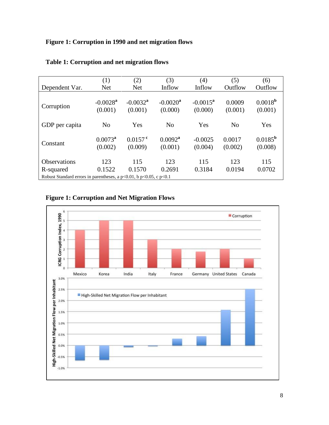## **Figure 1: Corruption in 1990 and net migration flows**

|                                                                            | (1)<br><b>Net</b>                 | (2)<br><b>Net</b>                 | (3)<br>Inflow                | (4)<br>Inflow          | (5)<br>Outflow    | (6)<br>Outflow              |
|----------------------------------------------------------------------------|-----------------------------------|-----------------------------------|------------------------------|------------------------|-------------------|-----------------------------|
| Dependent Var.                                                             |                                   |                                   |                              |                        |                   |                             |
| Corruption                                                                 | $-0.0028$ <sup>a</sup><br>(0.001) | $-0.0032$ <sup>a</sup><br>(0.001) | $-0.0020^{\rm a}$<br>(0.000) | $-0.0015^a$<br>(0.000) | 0.0009<br>(0.001) | $0.0018^{b}$<br>(0.001)     |
| GDP per capita                                                             | N <sub>o</sub>                    | Yes                               | N <sub>o</sub>               | Yes                    | N <sub>o</sub>    | Yes                         |
| Constant                                                                   | $0.0073^a$<br>(0.002)             | $0.0157$ <sup>c</sup><br>(0.009)  | $0.0092^a$<br>(0.001)        | $-0.0025$<br>(0.004)   | 0.0017<br>(0.002) | $0.0185^{\rm b}$<br>(0.008) |
| <b>Observations</b>                                                        | 123                               | 115                               | 123                          | 115                    | 123               | 115                         |
| R-squared                                                                  | 0.1522                            | 0.1570                            | 0.2691                       | 0.3184                 | 0.0194            | 0.0702                      |
| Robust Standard errors in parentheses, a $p<0.01$ , b $p<0.05$ , c $p<0.1$ |                                   |                                   |                              |                        |                   |                             |

## **Table 1: Corruption and net migration flows**

# **Figure 1: Corruption and Net Migration Flows**